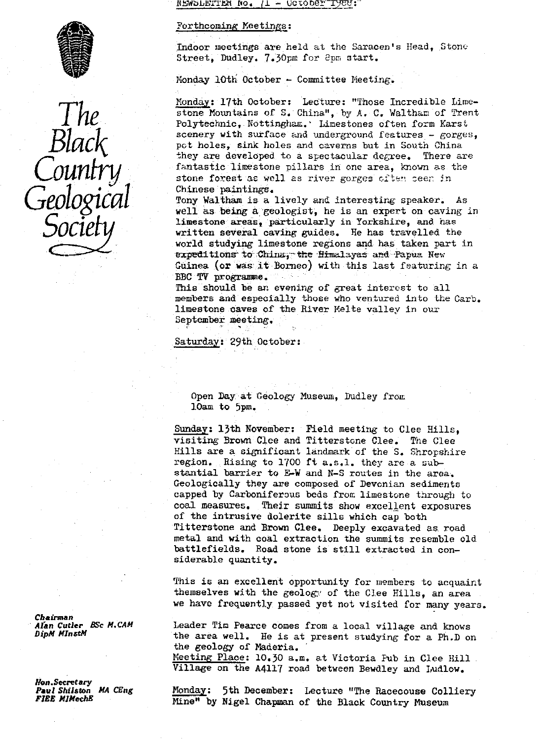$N$ EWSLETTER NO.  $/1 -$  Uctorer<sup>-I</sup>

#### Forthcoming Meetings:

Indoor meetings are held at the Saracen's Head, Stone Street, Dudley. 7.30pm for 8pm start.

Monday 10th October - Committee Meeting.

Monday: 17th October: Lecture: "Those Incredible Lime-stone Mountains of S. China", by A. C. Waltham of Trent IMP stone Mountains of S. China", by A. C. Waltham of Trent<br>Polytechnic, Nottingham. Limestones often form Karst Stone Mountains of S. China", by A. C. Waltham of Trent<br>
Polytechnic, Nottingham.' Limestones often form Karst<br>
Scenery with surface and underground features - gorges,<br>
pot holes, sink holes and caverns but in South China<br> they are developed to a spectacular degree. There are fantastic linestone pillars in one area, known as the COUNTY fantastic limestone pillars in one area, known as the<br>stone forest as well as river gorges often seen in • Chinese paintings.

> Tony Waltham is a lively and interesting speaker. As well as being a'geologist, he is an expert on caving in limestone areas, particularly' in Yorkshire, and has written several caving guides. He has travelled the world studying limestone regions and has taken part in expeditions to China, the Himalayas and Papua Rew Guinea (or was it Borneo) with this last featuring in a BBC TV programme.

> This should be an evening of great interest to all members and especially those who ventured into the Carb. limestone caves of the River Melte valley in our September meeting.

Saturday: 29th October:

Open Lay at Geology Museum, Dudley from lOam to 5pm.

Sunday: 13th November: Field meeting to Clee Hills, visiting Brown Clee and Titterstone Clee. The Clee Hills are a significant landmark of the S. Shropshire region. Rising to 1700 ft a.s.l. they are a substantial barrier to E-W and N-S routes in the area. Geologically they are composed of Devonian sediments capped by Carboniferous beds from limestone through to coal measures. Their summits show excellent exposures of the intrusive dolerite sills which cap both Titterstone and Brown Clee. Deeply excavated as. road metal and with coal extraction the summits resemble old battlefields. Road stone is still extracted in considerable quantity.

This is an excellent opportunity for members to acquaint themselves with the geology of the Clee Hills, an area we have frequently passed yet not visited for many years.

Alan Cutler BSc *M.CAM* Leader Tim Pearce comes from a local village and knows<br>DipM MInstM **by** the area well. He is at present studying for a Ph D of the area well. He is at present studying for a Ph.D on the geology of Maderia. Meeting Place: 10.30 a.m. at Victoria Fub in Clee Hill Village on the A4117 road between Bewdley and Ludlow.

**Paul Shilston MA CEng Monday:** 5th December: Lecture "The Racecouse Colliery"<br>**FIEE MIMechE** Wine Mine" by Nigel Charmon of the Block Country Museum Mine" by Nigel Chapman of the Black Country Museum

Chairman<br>Alan Cutler - BSc M.CAM

Hon.Secretary<br>Paul Shilston - MA-CEng

**SO**

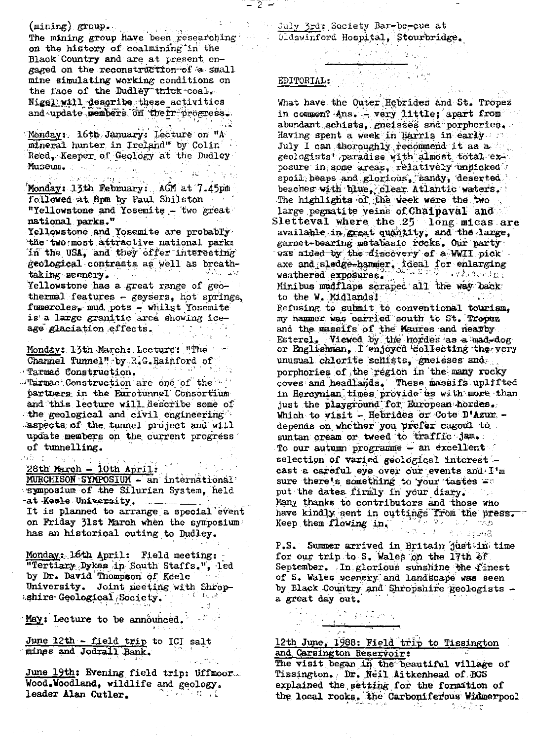(mining) group.<br>The mining group have been researching on the history of coalmining in the Black Country and are at present engaged on the reconstruction of a small mine simulating working conditions on the face of the Dudley thick coal. Nigel will describe these activities and update members on their progress. 어두다 감동  $\mathbf{r}$ 

Monday: 16th January: Lecture on "A mineral hunter in Ireland" by Colin Reed, Keeper of Geology at the Dudley Museum.  $\left\langle \left\langle \left\langle \mathcal{E} \mathcal{E} \right\rangle \right\rangle \right\rangle \left\langle \left\langle \mathcal{E} \right\rangle \right\rangle = \left\langle \left\langle \mathcal{E} \right\rangle \right\rangle \left\langle \left\langle \mathcal{E} \right\rangle \right\rangle \left\langle \left\langle \mathcal{E} \right\rangle \right\rangle \left\langle \left\langle \mathcal{E} \right\rangle \right\rangle \left\langle \left\langle \mathcal{E} \right\rangle \right\rangle \left\langle \left\langle \mathcal{E} \right\rangle \right\rangle \left\langle \left\langle \mathcal{E} \right\rangle \right\rangle \left\langle \left\$ 

RA - Wandelshi ying yardin ji Monday: 13th February: ACM at 7.45pm followed at 8pm by Paul Shilston "Yellowstone and Yosemite - two great national parks."

Yellowstone and Yosemite are probably the two most attractive national parks in the USA, and they offer interesting geological contrasts as well as breathtaking scenery. 10 多彩 10 美容 Yellowstone has a great range of geothermal features - geysers, hot springs, fumeroles, mud pots - whilst Yosemite is a large granitic area showing iceage glaciation effects.

Monday: 13th March: Lecture: "The Channel Tunnel" by R.G. Rainford of  $\sim 1.4 \pm 0.23$ Tarmac Construction.

"Tarmac Construction are one of the " partners in the Eurotunnel Consortium and this lecture will describe some of the geological and civil engineering aspects of the tunnel project and will update members on the current progress of tunnelling.

 $\partial \tilde{\Phi}^{\dagger}(\xi)$  and  $\tilde{\Phi}^{\dagger}(\xi)$ 28th March - 10th April:

MURCHISON SYMPOSIUM - an international symposium of the Silurian System, held -at-Keele-University.

It is planned to arrange a special event on Friday 31st March when the symposium has an historical outing to Dudley.

Monday: 16th April: Field meeting: "Tertiary Dykes in South Staffs,", led by Dr. David Thompson of Keele University. Joint meeting with Shropshire Geological Society.

May: Lecture to be announced.

June 12th - field trip to ICI salt<br>mines and Jodrall Bank.

June 19th: Evening field trip: Uffmoor. Wood.Woodland, wildlife and geology. ំពោះកាលពីនៅ leader Alan Cutler.

July 3rd; Society Bar-be-cue at . Oldswinford Hospital, Stourbridge.

대중 시작을 보실

# EDITORIAL:

 $-2 -$ 

What have the Outer Hebrides and St. Tropez in common? Ans. - very little; apart from abundant schists, gneisses and porphories. Having spent a week in Harris in early July I can thoroughly recommend it as a geologists' paradise with almost total exposure in some areas, relatively unpicked spoil heaps and glorious, sandy, deserted beaches with blue, clear Atlantic waters. The highlights of the week were the two large pegmatite veins of Chaipaval and Sletteval where the 25 long micas are<br>available in great quantity, and the large, garnet-bearing metabasic rocks. Our party was aided by the discovery of a WWII pick. axe and sledge-hammer, ideal for enlarging<br>weathered exposures. Minibus mudflaps scraped all the way back to the W. Midlands! Refusing to submit to conventional tourism, my hammer was carried south to St. Tropez and the massifs of the Maures and nearby Esterel. Viewed by the hordes as a mad-dog or Englishman, I enjoyed collecting the very unusual chlorite schists, gneisses and porphories of the region in the many rocky coves and headlands. These massifs uplifted in Hercynian times provide us with more than just the playground for European hordes. Which to visit - Hebrides or Cote D'Azur. depends on whether you prefer cagoul to suntan cream or tweed to traffic jam. To our autumn programme - an excellent selection of varied geological interestcast a careful eye over our events and I'm sure there's something to your tastes = put the dates firmly in your diary. Many thanks to contributors and those who hany grams we converted the first the press. Keep them flowing in. nia w 12 min. agosti

P.S. Summer arrived in Britain just in time for our trip to S. Wales on the 17th of September. In glorious sunshine the finest of S. Wales scenery and landscape was seen by Black Country and Shropshire geologists a great day out.

## 12th June, 1988: Field trip to Tissington and Carsington Reservoir:

 $\label{eq:2.1} \begin{array}{l} \mathbb{E}[\mathcal{S}(\mathcal{S})] = \frac{1}{2} \sum_{i=1}^n \mathbb{E}[\mathcal{S}(\mathcal{S})] \mathbb{E}[\mathcal{S}(\mathcal{S})] \mathbb{E}[\mathcal{S}(\mathcal{S})] \mathbb{E}[\mathcal{S}(\mathcal{S})] \mathbb{E}[\mathcal{S}(\mathcal{S})] \mathbb{E}[\mathcal{S}(\mathcal{S})] \mathbb{E}[\mathcal{S}(\mathcal{S})] \mathbb{E}[\mathcal{S}(\mathcal{S})] \mathbb{E}[\mathcal{S}(\mathcal{$ 

 $\frac{1}{2}$ 

The visit began in the beautiful village of Tissington. Dr. Neil Aitkenhead of BGS explained the setting for the formation of the local rocks. the Carboniferous Widmerpool

an See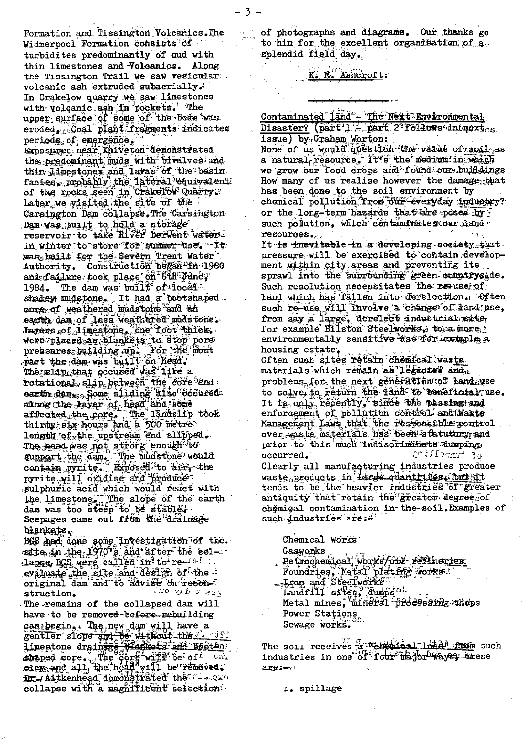Formation and Tissington Volcanics. The Widmerpool Formation consists of turbidites predominantly of mud with thin limestones and Volcanics. Along the Tissington Trail we saw vesicular volcanic ash extruded subaerially. In Crakelow quarry we saw limestones with volcanic ash in pockets. The upper surface of some of the beds was eroded, Coal plant fragments indicated periods of emergence. Exposures, near Kniveton demonstrated the predominant mude with bivalves and thin Linestones and lavas of the basin. facies probably the Tateral "Guivalenti of the rocks seen in Crakelow Quarry. Carsington Dam collapse. The Carsington Dam was built to hold a storage reservoir to take Hiver Derwent waters. in winter to store for summer use. It was bailt for the Severn Trent Water<br>Authority. Construction began of 1980 and dailure took place on 6th yune; The dam was built of focal 1984. shadey mudstone. It had a bootshaped. core of weathered mudstone and an earth, dam of less weathered modstone. lapers of 1 imestone, one Toot aniels were placed an blankets to stop port The slip that occured was like a rotational, slip, between the core and earth dem Some sliding afsonoceured altong the laver of head and some affiected the core. The landslip took.<br>thirty six hours and a 500 metre.<br>length of the upstream end slipped. The head was not strong enough to The search product in the muas well.<br>support, the dam. The muas well.<br>The search product in the muasure of the muasure contain pyrite. Broosed to ains sulphuric acid which would react with the limestone, The slope of the earth<br>dam was too steep to the stating. Seepages came out from the drainage blankets.

BGS April done some investigation of the.<br>site in the 1970 s and after the esidange, BGS were called in to reevaluate sthe site and design of the original dam and to advise on recon-Like the class struction.

The remains of the collapsed dam will have to be removed-before-rebuilding can begin, the new dam will have a<br>gentler slope and be without the bottom<br>imestone drained be without the bottom<br>shaped core. The core with be conditioned all, the head will be removed. collapse with a magnificent selection.

of photographs and diagrams. Our thanks go to him for the excellent organisation of a splendid field day.

# K. M. Ashcroft:

- 3 -

Contaminated land - The Next Environmental Disaster? (part 1 - part 2310415 increxing

issue) by Graham Worton:

None of us would question the value of soil as a natural resource. It's the medium in which we grow our food crops and found our buildings How many of us realise however the damage that has been done to the soil environment by chemical pollution Trom our everyday industry? or the long-term hazards that are posed for such polution, which contaminates cour land resources...

It is inevitable in a developing-society that. pressure will be exercised to contain development within city areas and preventing its. sprawl into the surrounding green countryside. Such resolution necessitates the resusciof land which has fällen into derelection. Often such re-use will involve a change of land use, from say a large, derelect industrial sate for example Bilston Steelworks, to a more: environmentally sensitive use for example a housing estate,

Often such sites retain chemical waste materials which remain as legacies andn problems for the next generation of landsuse to solve to return the land to ceneficial use. It is only recently, since the passing and enforcement of pollution control and Maste Management Laws that the responsible xontrol<br>over waste materials has been statutury and prior to this much indiscriminate dumping. of tunnelling occurred.

Clearly all manufacturing industries produce waste products in <del>large quantities. but</del> Stt tends to be the heavier industries of greater antiquity that retain the greater degree of chemical contamination in the soil. Examples of<br>such industries are:

Chemical works Gasworks Petrochemical works/oil refuneries Foundries, Metail platters works? Landfill sites, dumps ol Metal mines, mineral freeessing shops Power Stations Sewage works.

The soll receives a "chomitical" diad the such<br>industries in one of four hajor ways, these are:-4

1. spillage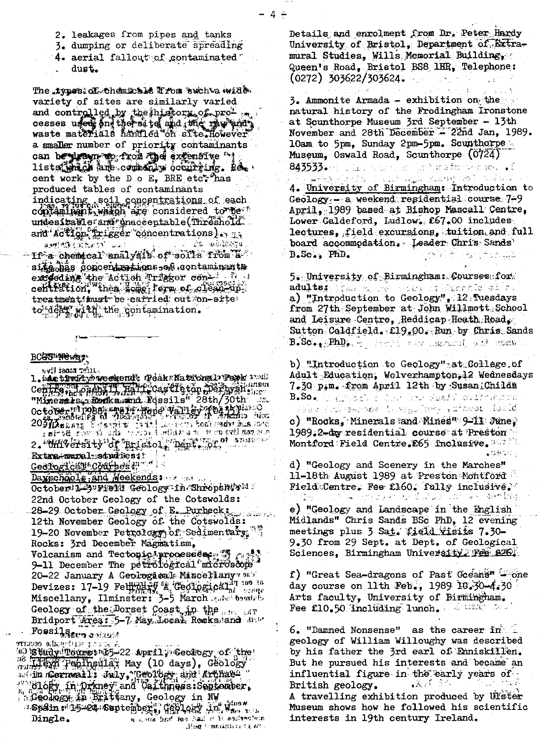- 2. leakages from pipes and tanks
- 3. dumping or deliberate spreading
- 4. aerial fallout of contaminated dust.

The types: of themicals if for such a wide. variety of sites are similarly varied and controlled by the history of pro-<br>cesses used and the site and wie rew and, a smaller number of priority contaminants can be pleasure to from the extensive " lists which are commonly occurring. Recent work by the D o E, BRE etc<sup>\*</sup> has produced tables of contaminants indicating soil concentrations of each contaminant, when are considered to secure undesitzable and maceentable (Threshold and Action Trigger concentrations). experience in the view of soft soft a fine a family of soft soft and produced the set sife has concentrations of contaminants

exceeding the Action Trigger concentration, then some form of clean-up. treatment imst be carried out on-site to deep with the contamination.

#### BCGST News

syll tentar flus

l. Dan tiwitybweckend: DeaksNational>Papk 37912. Centre, Losen J, La Precastigton Derbyshene "Minenals, Rodka smd Possils" 28th/30th October in Tobas and the property of the south of the contract of the contract of the contract of the contract of the contract of the contract of the contract of the contract of the contract of the contract of the contract 2. University of Bristol, Dept. of space Extra#maral studiesi: Geological Coarbes ?" Dayschools, and Weekends: October 1-5" Freid Geology in Shropshiri .

22nd October Geology of the Cotswolds: 28-29 October Geology of E. Purbeck; 12th November Geology of the Cotswolds: 19-20 November Petrology of Sedimentary. 15 Rocks: 3rd December Magnatism,

Volcanism and Tectoric processes:  $\mathfrak{F} \subset \mathbb{R}$ 9-11 December The petrological microscope 20-22 January A Geological Miscellany 913 Devizes: 17-19 Felining & Geological Management Miscellany, Ilminster: 3-5 March and bound Geology of the Dorset Coast, in the man car Bridport Area: 5-7 May Jocal Rocksdand did

Fossilsen onaud

a score and make contreso is hudy Tours we 5-22 April ; Geology of the Be Eliza Peningular May (10 days), Geology sucin ndormwail's July, "Geology and Archae"<br>" "Glogy fn: Driney" and Caithness: September, **SGeology in Brittany, Geology in NW** "Spain el 15=24 September 9 Gen 904, 31 Nun 1 . u il sua listo han hall ri li aniinentein Dingle. .Вно блюнантел исDetails and enrolment from Dr. Peter Hardy University of Bristol, Department of Extramural Studies, Wills Memorial Building, Queen's Road, Bristol BS8 1HR, Telephone:  $(0272)$  303622/303624.

3. Ammonite Armada - exhibition on the natural history of the Frodingham Ironstone at Scunthorpe Museum 3rd September - 13th November and 28th December - 22nd Jan, 1989. lOam to 5pm, Sunday 2pm-5pm. Scunthorpe Museum, Oswald Road, Scunthorpe (0724) l jiho serom zinge tigasta ekonomiyati . J 843533.

بالغ والمراد

ക്രൂപ്പോളം പക് എന്ന സംശരിക്കി 4. University of Birmingham: Introduction to Geology - a weekend residential course 7-9 April, 1989 based at Bishop Mascall Centre, Lower Galdeford, Ludlow. £67.00 includes lectures, field excursions, tuition and full board accommodation. Leader Chris Sands' B.Sc., PhD.

5. University of Birmingham: Courses for aduļts, plan nu nek kori stipramīg ai ta a) "Introduction to Geology", 12 Tuesdays from 27th September at John Willmott School and Leisure Centre, Reddicap Heath Road,  $\texttt{Subt}$  Coldfield.  $\texttt{E19}_\bullet$  QO. Run by Chris Sands  $\texttt{B}_\bullet\texttt{Sc}_{\bullet\bullet}$  ,  $\texttt{RhD}_{\bullet\bullet}$  , we are not instructed, with itself

b) "Introduction to Geology" at College.of Adult Education, Wolverhampton, 12 Wednesdays 7.30 p.m. from April 12th by Susan Childs  $\mathbf{B}_\bullet\mathbf{S}\mathbf{o}_\bullet$  by groups and the basic sessed of  $\mathbf{S}\mathbf{o}_\bullet$ jelan itus tempool (Linegullamy) (zimuot) Adal**d** 

c) "Rocks, Minerals and Mines" 9-11 June, 1989.2-day residential course at Preston  $\texttt{Montford}\ \texttt{Field}\ \texttt{Centre}\ \texttt{E65}\ \texttt{Inclusive}\ \texttt{3.7}\ ^{\circ\circ}$ 

d) "Geology and Scenery in the Marches" 11-18th August 1989 at Preston Montford Field Centre, Fee £160. fully inclusive. 10 ເຊິ່ງ ເຊິ່ງ ກໍ່ມີຄວາມເຊິ່ງ ແລະ ເຊິ່ງ ເຊິ່ງ ແລະ ເຊິ່ງ ເຊິ່ງ ກໍ່ມີຄວາມເຊິ່ງ ແລະ ເຊິ່ງ ກໍ່ໄດ້ເຊິ່ງ ແ

e) "Geology and Landscape in the English Midlands" Chris Sands BSc PhD, 12 evening meetings plus 3 Sat. field visits 7.30-9.30 from 29 Sept. at Dept. of Geological Sciences, Birmingham University Fee 826.

f) "Great Sea-dragons of Past Oceans" = one day course on 11th Feb., 1989 10.30-4.30 Arts faculty, University of Birmingham. Fee £10.50 Including lunch. A ware deal

 $6.$  "Damned Nonsense" as the career  $\mathbf{m}$ geology of William Willoughy was described by his father the 3rd earl of Enniskillen. But he pursued his interests and became an influential figure in the early years of  $\mathbf{X} \times \mathbb{R} \to \mathbb{C}$ British geology.

A travelling exhibition produced by Ulfster Museum shows how he followed his scientific interests in 19th century Ireland.